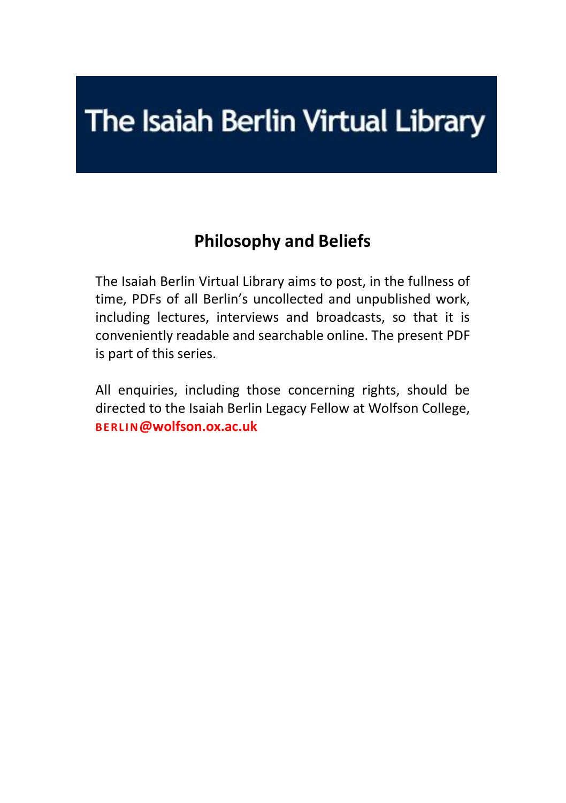# The Isaiah Berlin Virtual Library

## **Philosophy and Beliefs**

The Isaiah Berlin Virtual Library aims to post, in the fullness of time, PDFs of all Berlin's uncollected and unpublished work, including lectures, interviews and broadcasts, so that it is conveniently readable and searchable online. The present PDF is part of this series.

All enquiries, including those concerning rights, should be directed to the Isaiah Berlin Legacy Fellow at Wolfson College, **BERLI N[@wolfson.ox.ac.uk](mailto:berlin@wolfson.ox.ac.uk)**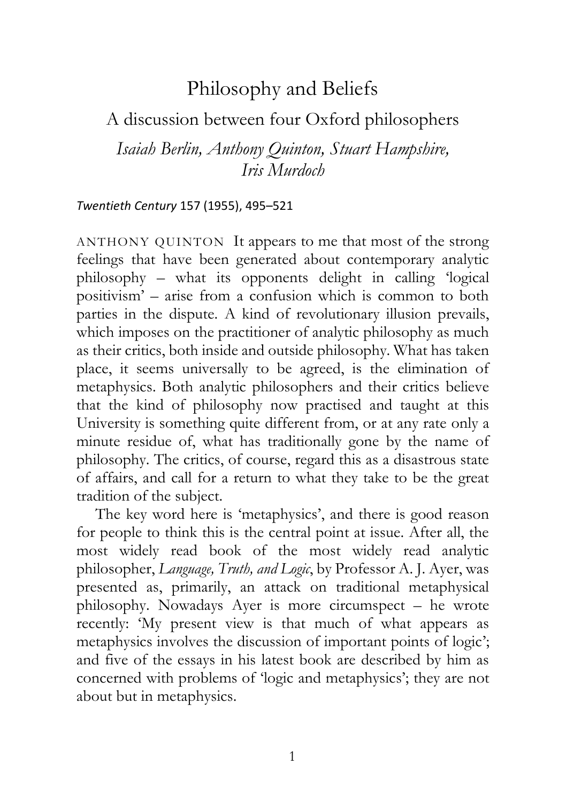## Philosophy and Beliefs

### A discussion between four Oxford philosophers

*Isaiah Berlin, Anthony Quinton, Stuart Hampshire, Iris Murdoch*

#### *Twentieth Century* 157 (1955), 495–521

ANTHONY QUINTON It appears to me that most of the strong feelings that have been generated about contemporary analytic philosophy – what its opponents delight in calling 'logical positivism' – arise from a confusion which is common to both parties in the dispute. A kind of revolutionary illusion prevails, which imposes on the practitioner of analytic philosophy as much as their critics, both inside and outside philosophy. What has taken place, it seems universally to be agreed, is the elimination of metaphysics. Both analytic philosophers and their critics believe that the kind of philosophy now practised and taught at this University is something quite different from, or at any rate only a minute residue of, what has traditionally gone by the name of philosophy. The critics, of course, regard this as a disastrous state of affairs, and call for a return to what they take to be the great tradition of the subject.

The key word here is 'metaphysics', and there is good reason for people to think this is the central point at issue. After all, the most widely read book of the most widely read analytic philosopher, *Language, Truth, and Logic*, by Professor A. J. Ayer, was presented as, primarily, an attack on traditional metaphysical philosophy. Nowadays Ayer is more circumspect – he wrote recently: 'My present view is that much of what appears as metaphysics involves the discussion of important points of logic'; and five of the essays in his latest book are described by him as concerned with problems of 'logic and metaphysics'; they are not about but in metaphysics.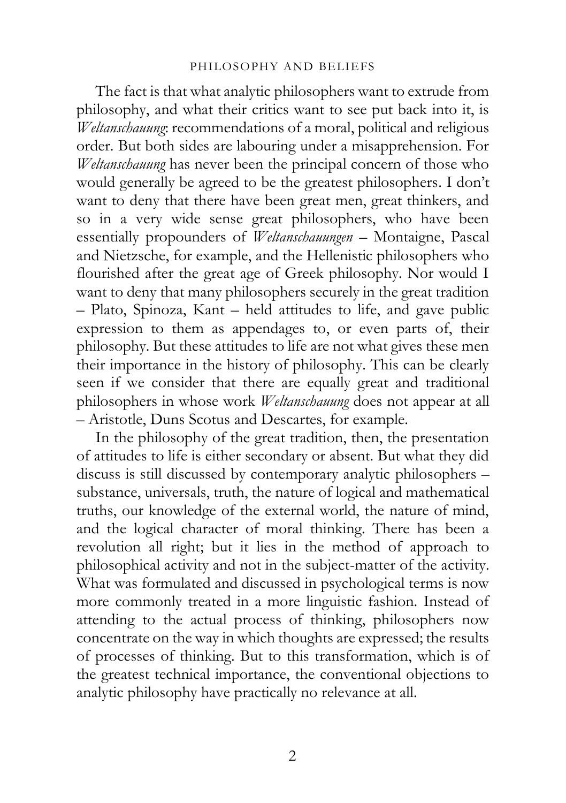The fact is that what analytic philosophers want to extrude from philosophy, and what their critics want to see put back into it, is *Weltanschauung*: recommendations of a moral, political and religious order. But both sides are labouring under a misapprehension. For *Weltanschauung* has never been the principal concern of those who would generally be agreed to be the greatest philosophers. I don't want to deny that there have been great men, great thinkers, and so in a very wide sense great philosophers, who have been essentially propounders of *Weltanschauungen* – Montaigne, Pascal and Nietzsche, for example, and the Hellenistic philosophers who flourished after the great age of Greek philosophy. Nor would I want to deny that many philosophers securely in the great tradition – Plato, Spinoza, Kant – held attitudes to life, and gave public expression to them as appendages to, or even parts of, their philosophy. But these attitudes to life are not what gives these men their importance in the history of philosophy. This can be clearly seen if we consider that there are equally great and traditional philosophers in whose work *Weltanschauung* does not appear at all – Aristotle, Duns Scotus and Descartes, for example.

In the philosophy of the great tradition, then, the presentation of attitudes to life is either secondary or absent. But what they did discuss is still discussed by contemporary analytic philosophers – substance, universals, truth, the nature of logical and mathematical truths, our knowledge of the external world, the nature of mind, and the logical character of moral thinking. There has been a revolution all right; but it lies in the method of approach to philosophical activity and not in the subject-matter of the activity. What was formulated and discussed in psychological terms is now more commonly treated in a more linguistic fashion. Instead of attending to the actual process of thinking, philosophers now concentrate on the way in which thoughts are expressed; the results of processes of thinking. But to this transformation, which is of the greatest technical importance, the conventional objections to analytic philosophy have practically no relevance at all.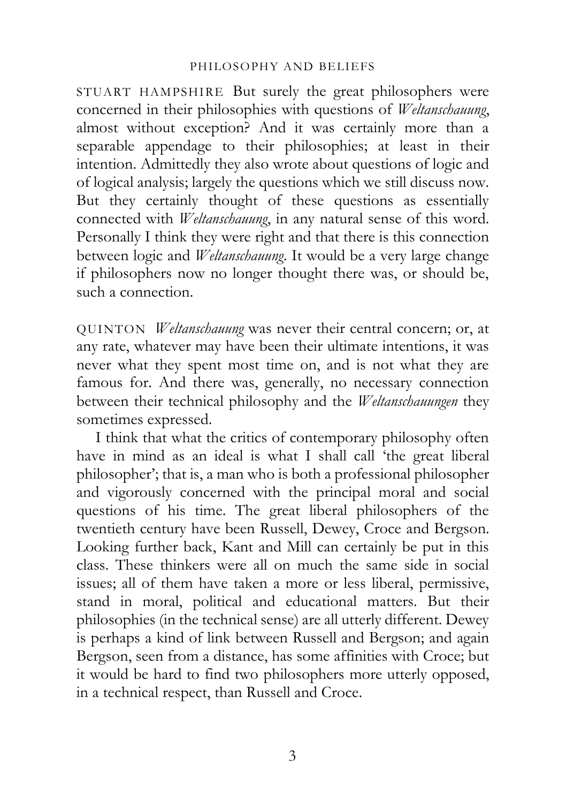STUART HAMPSHIRE But surely the great philosophers were concerned in their philosophies with questions of *Weltanschauung*, almost without exception? And it was certainly more than a separable appendage to their philosophies; at least in their intention. Admittedly they also wrote about questions of logic and of logical analysis; largely the questions which we still discuss now. But they certainly thought of these questions as essentially connected with *Weltanschauung*, in any natural sense of this word. Personally I think they were right and that there is this connection between logic and *Weltanschauung*. It would be a very large change if philosophers now no longer thought there was, or should be, such a connection.

QUINTON *Weltanschauung* was never their central concern; or, at any rate, whatever may have been their ultimate intentions, it was never what they spent most time on, and is not what they are famous for. And there was, generally, no necessary connection between their technical philosophy and the *Weltanschauungen* they sometimes expressed.

I think that what the critics of contemporary philosophy often have in mind as an ideal is what I shall call 'the great liberal philosopher'; that is, a man who is both a professional philosopher and vigorously concerned with the principal moral and social questions of his time. The great liberal philosophers of the twentieth century have been Russell, Dewey, Croce and Bergson. Looking further back, Kant and Mill can certainly be put in this class. These thinkers were all on much the same side in social issues; all of them have taken a more or less liberal, permissive, stand in moral, political and educational matters. But their philosophies (in the technical sense) are all utterly different. Dewey is perhaps a kind of link between Russell and Bergson; and again Bergson, seen from a distance, has some affinities with Croce; but it would be hard to find two philosophers more utterly opposed, in a technical respect, than Russell and Croce.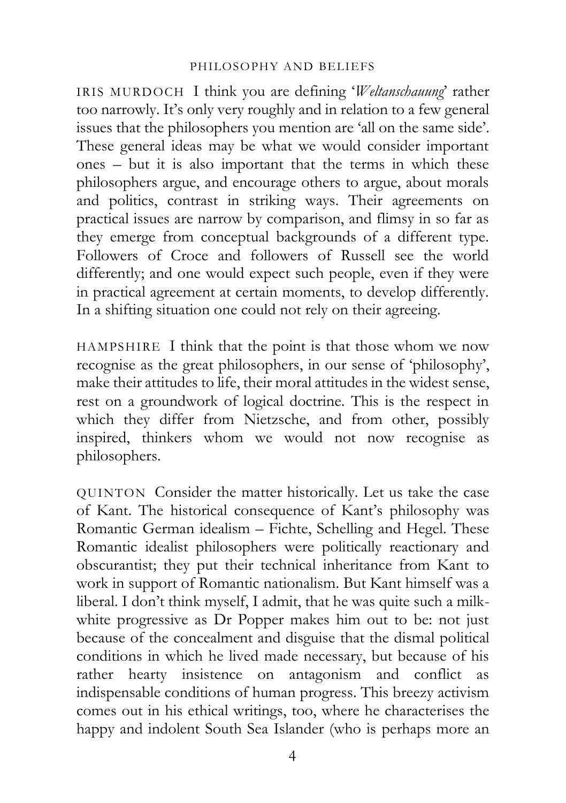IRIS MURDOCH I think you are defining '*Weltanschauung*' rather too narrowly. It's only very roughly and in relation to a few general issues that the philosophers you mention are 'all on the same side'. These general ideas may be what we would consider important ones – but it is also important that the terms in which these philosophers argue, and encourage others to argue, about morals and politics, contrast in striking ways. Their agreements on practical issues are narrow by comparison, and flimsy in so far as they emerge from conceptual backgrounds of a different type. Followers of Croce and followers of Russell see the world differently; and one would expect such people, even if they were in practical agreement at certain moments, to develop differently. In a shifting situation one could not rely on their agreeing.

HAMPSHIRE I think that the point is that those whom we now recognise as the great philosophers, in our sense of 'philosophy', make their attitudes to life, their moral attitudes in the widest sense, rest on a groundwork of logical doctrine. This is the respect in which they differ from Nietzsche, and from other, possibly inspired, thinkers whom we would not now recognise as philosophers.

QUINTON Consider the matter historically. Let us take the case of Kant. The historical consequence of Kant's philosophy was Romantic German idealism – Fichte, Schelling and Hegel. These Romantic idealist philosophers were politically reactionary and obscurantist; they put their technical inheritance from Kant to work in support of Romantic nationalism. But Kant himself was a liberal. I don't think myself, I admit, that he was quite such a milkwhite progressive as Dr Popper makes him out to be: not just because of the concealment and disguise that the dismal political conditions in which he lived made necessary, but because of his rather hearty insistence on antagonism and conflict as indispensable conditions of human progress. This breezy activism comes out in his ethical writings, too, where he characterises the happy and indolent South Sea Islander (who is perhaps more an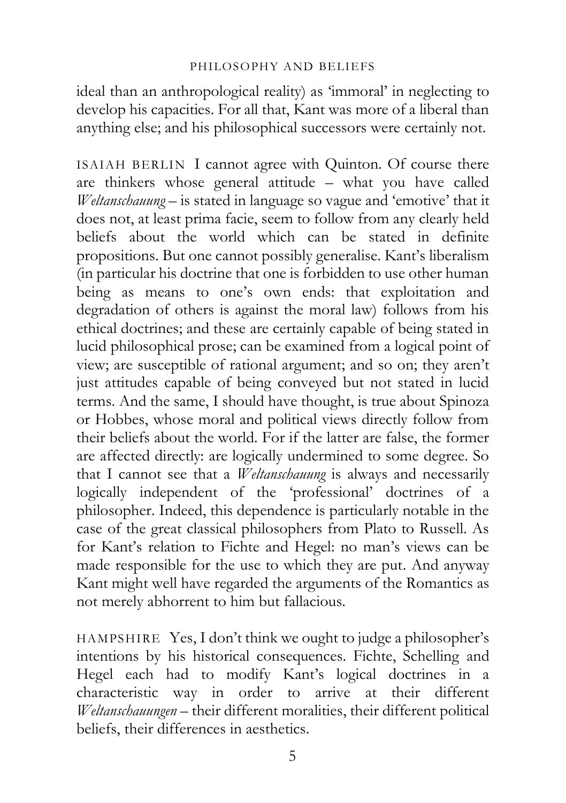ideal than an anthropological reality) as 'immoral' in neglecting to develop his capacities. For all that, Kant was more of a liberal than anything else; and his philosophical successors were certainly not.

ISAIAH BERLIN I cannot agree with Quinton. Of course there are thinkers whose general attitude – what you have called *Weltanschauung* – is stated in language so vague and 'emotive' that it does not, at least prima facie, seem to follow from any clearly held beliefs about the world which can be stated in definite propositions. But one cannot possibly generalise. Kant's liberalism (in particular his doctrine that one is forbidden to use other human being as means to one's own ends: that exploitation and degradation of others is against the moral law) follows from his ethical doctrines; and these are certainly capable of being stated in lucid philosophical prose; can be examined from a logical point of view; are susceptible of rational argument; and so on; they aren't just attitudes capable of being conveyed but not stated in lucid terms. And the same, I should have thought, is true about Spinoza or Hobbes, whose moral and political views directly follow from their beliefs about the world. For if the latter are false, the former are affected directly: are logically undermined to some degree. So that I cannot see that a *Weltanschauung* is always and necessarily logically independent of the 'professional' doctrines of a philosopher. Indeed, this dependence is particularly notable in the case of the great classical philosophers from Plato to Russell. As for Kant's relation to Fichte and Hegel: no man's views can be made responsible for the use to which they are put. And anyway Kant might well have regarded the arguments of the Romantics as not merely abhorrent to him but fallacious.

HAMPSHIRE Yes, I don't think we ought to judge a philosopher's intentions by his historical consequences. Fichte, Schelling and Hegel each had to modify Kant's logical doctrines in a characteristic way in order to arrive at their different *Weltanschauungen* – their different moralities, their different political beliefs, their differences in aesthetics.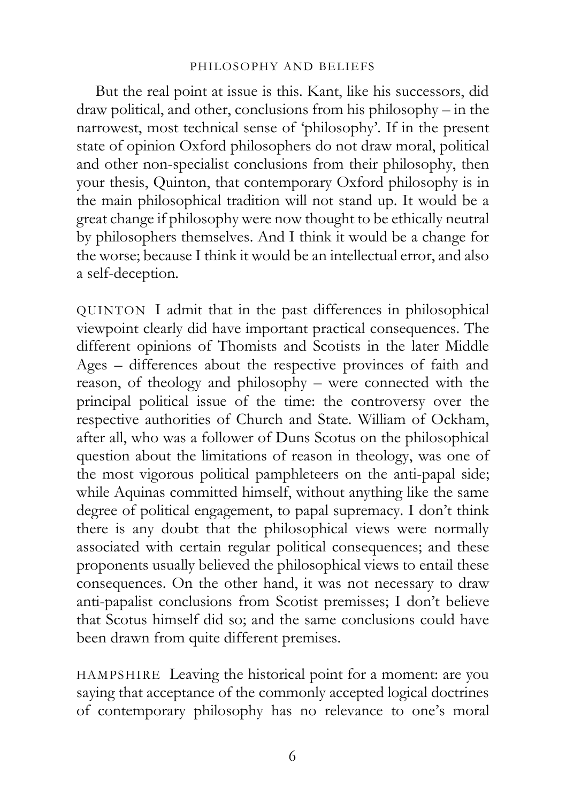But the real point at issue is this. Kant, like his successors, did draw political, and other, conclusions from his philosophy – in the narrowest, most technical sense of 'philosophy'. If in the present state of opinion Oxford philosophers do not draw moral, political and other non-specialist conclusions from their philosophy, then your thesis, Quinton, that contemporary Oxford philosophy is in the main philosophical tradition will not stand up. It would be a great change if philosophy were now thought to be ethically neutral by philosophers themselves. And I think it would be a change for the worse; because I think it would be an intellectual error, and also a self-deception.

QUINTON I admit that in the past differences in philosophical viewpoint clearly did have important practical consequences. The different opinions of Thomists and Scotists in the later Middle Ages – differences about the respective provinces of faith and reason, of theology and philosophy – were connected with the principal political issue of the time: the controversy over the respective authorities of Church and State. William of Ockham, after all, who was a follower of Duns Scotus on the philosophical question about the limitations of reason in theology, was one of the most vigorous political pamphleteers on the anti-papal side; while Aquinas committed himself, without anything like the same degree of political engagement, to papal supremacy. I don't think there is any doubt that the philosophical views were normally associated with certain regular political consequences; and these proponents usually believed the philosophical views to entail these consequences. On the other hand, it was not necessary to draw anti-papalist conclusions from Scotist premisses; I don't believe that Scotus himself did so; and the same conclusions could have been drawn from quite different premises.

HAMPSHIRE Leaving the historical point for a moment: are you saying that acceptance of the commonly accepted logical doctrines of contemporary philosophy has no relevance to one's moral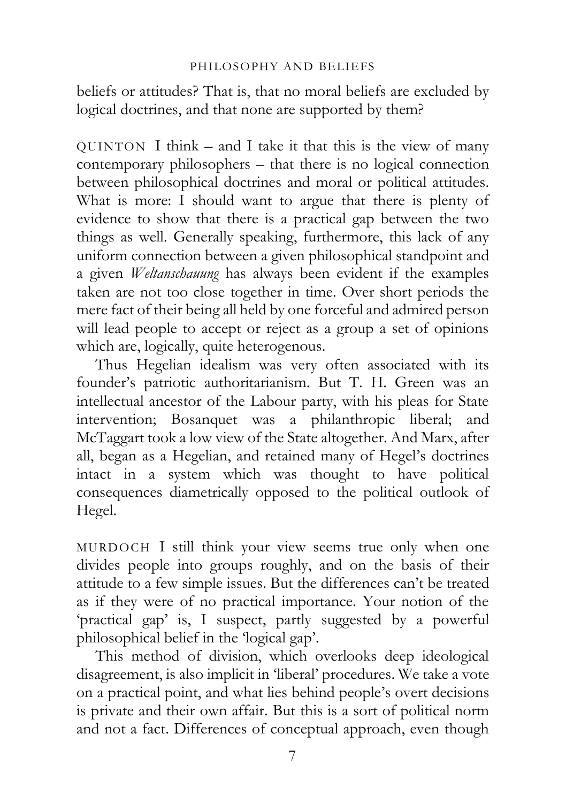beliefs or attitudes? That is, that no moral beliefs are excluded by logical doctrines, and that none are supported by them?

QUINTON I think – and I take it that this is the view of many contemporary philosophers – that there is no logical connection between philosophical doctrines and moral or political attitudes. What is more: I should want to argue that there is plenty of evidence to show that there is a practical gap between the two things as well. Generally speaking, furthermore, this lack of any uniform connection between a given philosophical standpoint and a given *Weltanschauung* has always been evident if the examples taken are not too close together in time. Over short periods the mere fact of their being all held by one forceful and admired person will lead people to accept or reject as a group a set of opinions which are, logically, quite heterogenous.

Thus Hegelian idealism was very often associated with its founder's patriotic authoritarianism. But T. H. Green was an intellectual ancestor of the Labour party, with his pleas for State intervention; Bosanquet was a philanthropic liberal; and McTaggart took a low view of the State altogether. And Marx, after all, began as a Hegelian, and retained many of Hegel's doctrines intact in a system which was thought to have political consequences diametrically opposed to the political outlook of Hegel.

MURDOCH I still think your view seems true only when one divides people into groups roughly, and on the basis of their attitude to a few simple issues. But the differences can't be treated as if they were of no practical importance. Your notion of the 'practical gap' is, I suspect, partly suggested by a powerful philosophical belief in the 'logical gap'.

This method of division, which overlooks deep ideological disagreement, is also implicit in 'liberal' procedures. We take a vote on a practical point, and what lies behind people's overt decisions is private and their own affair. But this is a sort of political norm and not a fact. Differences of conceptual approach, even though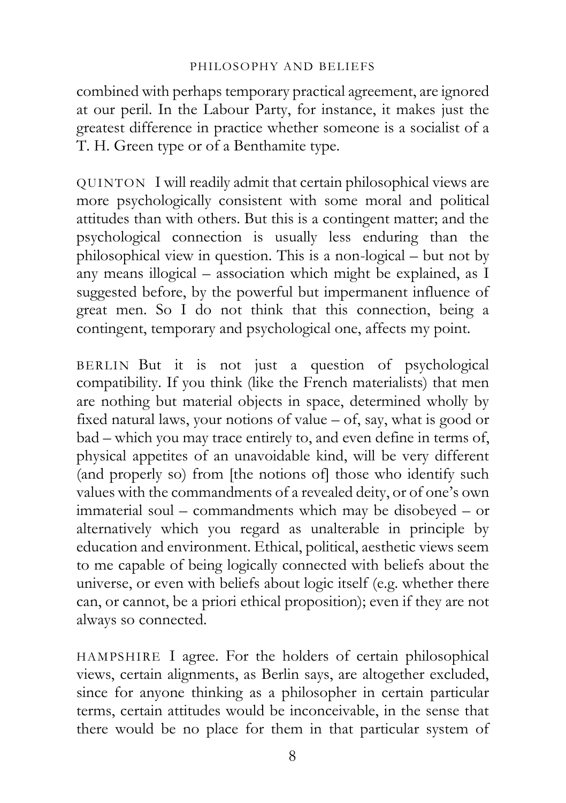combined with perhaps temporary practical agreement, are ignored at our peril. In the Labour Party, for instance, it makes just the greatest difference in practice whether someone is a socialist of a T. H. Green type or of a Benthamite type.

QUINTON I will readily admit that certain philosophical views are more psychologically consistent with some moral and political attitudes than with others. But this is a contingent matter; and the psychological connection is usually less enduring than the philosophical view in question. This is a non-logical – but not by any means illogical – association which might be explained, as I suggested before, by the powerful but impermanent influence of great men. So I do not think that this connection, being a contingent, temporary and psychological one, affects my point.

BERLIN But it is not just a question of psychological compatibility. If you think (like the French materialists) that men are nothing but material objects in space, determined wholly by fixed natural laws, your notions of value – of, say, what is good or bad – which you may trace entirely to, and even define in terms of, physical appetites of an unavoidable kind, will be very different (and properly so) from [the notions of] those who identify such values with the commandments of a revealed deity, or of one's own immaterial soul – commandments which may be disobeyed – or alternatively which you regard as unalterable in principle by education and environment. Ethical, political, aesthetic views seem to me capable of being logically connected with beliefs about the universe, or even with beliefs about logic itself (e.g. whether there can, or cannot, be a priori ethical proposition); even if they are not always so connected.

HAMPSHIRE I agree. For the holders of certain philosophical views, certain alignments, as Berlin says, are altogether excluded, since for anyone thinking as a philosopher in certain particular terms, certain attitudes would be inconceivable, in the sense that there would be no place for them in that particular system of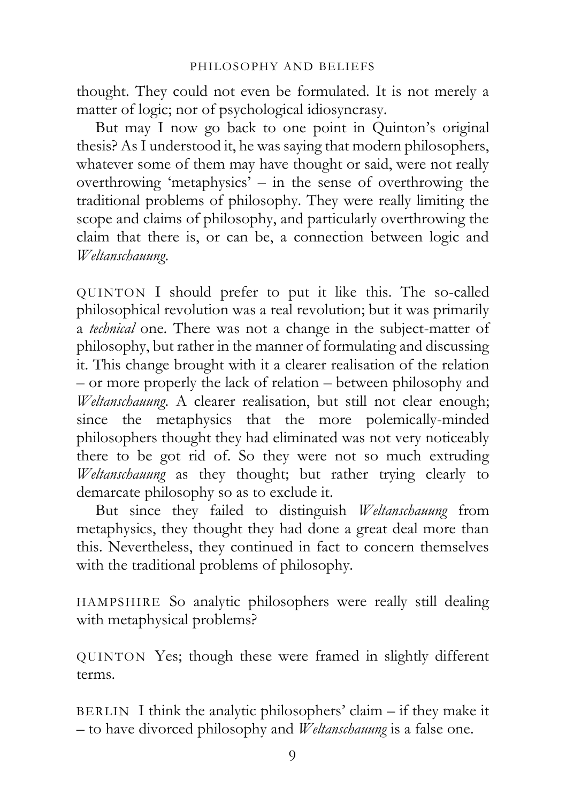thought. They could not even be formulated. It is not merely a matter of logic; nor of psychological idiosyncrasy.

But may I now go back to one point in Quinton's original thesis? As I understood it, he was saying that modern philosophers, whatever some of them may have thought or said, were not really overthrowing 'metaphysics' – in the sense of overthrowing the traditional problems of philosophy. They were really limiting the scope and claims of philosophy, and particularly overthrowing the claim that there is, or can be, a connection between logic and *Weltanschauung*.

QUINTON I should prefer to put it like this. The so-called philosophical revolution was a real revolution; but it was primarily a *technical* one. There was not a change in the subject-matter of philosophy, but rather in the manner of formulating and discussing it. This change brought with it a clearer realisation of the relation – or more properly the lack of relation – between philosophy and *Weltanschauung*. A clearer realisation, but still not clear enough; since the metaphysics that the more polemically-minded philosophers thought they had eliminated was not very noticeably there to be got rid of. So they were not so much extruding *Weltanschauung* as they thought; but rather trying clearly to demarcate philosophy so as to exclude it.

But since they failed to distinguish *Weltanschauung* from metaphysics, they thought they had done a great deal more than this. Nevertheless, they continued in fact to concern themselves with the traditional problems of philosophy.

HAMPSHIRE So analytic philosophers were really still dealing with metaphysical problems?

QUINTON Yes; though these were framed in slightly different terms.

BERLIN I think the analytic philosophers' claim – if they make it – to have divorced philosophy and *Weltanschauung* is a false one.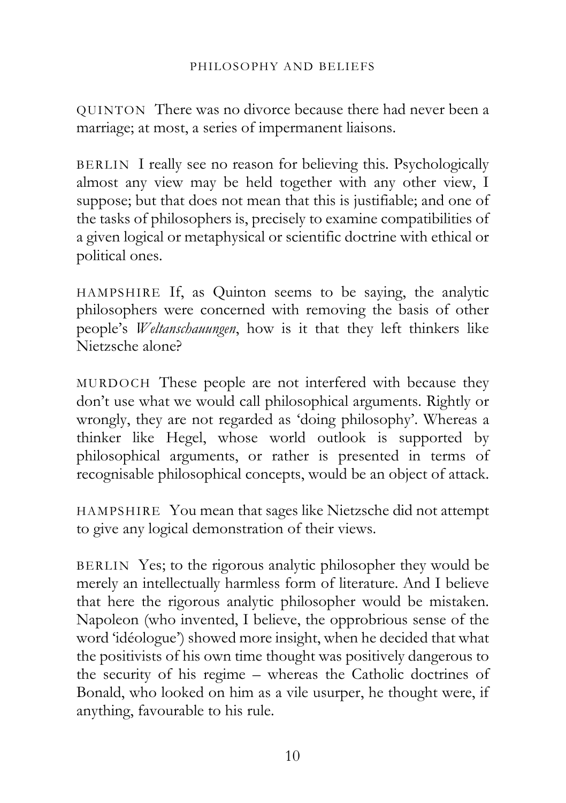QUINTON There was no divorce because there had never been a marriage; at most, a series of impermanent liaisons.

BERLIN I really see no reason for believing this. Psychologically almost any view may be held together with any other view, I suppose; but that does not mean that this is justifiable; and one of the tasks of philosophers is, precisely to examine compatibilities of a given logical or metaphysical or scientific doctrine with ethical or political ones.

HAMPSHIRE If, as Quinton seems to be saying, the analytic philosophers were concerned with removing the basis of other people's *Weltanschauungen*, how is it that they left thinkers like Nietzsche alone?

MURDOCH These people are not interfered with because they don't use what we would call philosophical arguments. Rightly or wrongly, they are not regarded as 'doing philosophy'. Whereas a thinker like Hegel, whose world outlook is supported by philosophical arguments, or rather is presented in terms of recognisable philosophical concepts, would be an object of attack.

HAMPSHIRE You mean that sages like Nietzsche did not attempt to give any logical demonstration of their views.

BERLIN Yes; to the rigorous analytic philosopher they would be merely an intellectually harmless form of literature. And I believe that here the rigorous analytic philosopher would be mistaken. Napoleon (who invented, I believe, the opprobrious sense of the word 'idéologue') showed more insight, when he decided that what the positivists of his own time thought was positively dangerous to the security of his regime – whereas the Catholic doctrines of Bonald, who looked on him as a vile usurper, he thought were, if anything, favourable to his rule.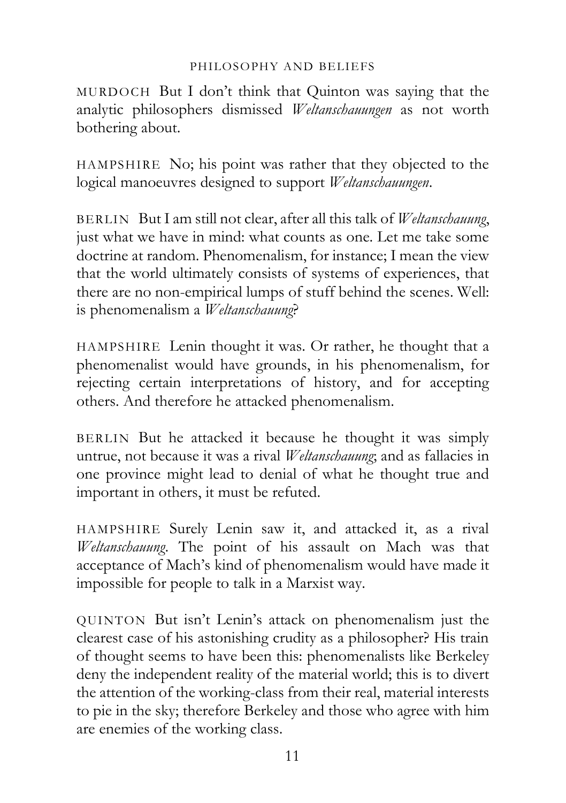MURDOCH But I don't think that Quinton was saying that the analytic philosophers dismissed *Weltanschauungen* as not worth bothering about.

HAMPSHIRE No; his point was rather that they objected to the logical manoeuvres designed to support *Weltanschauungen*.

BERLIN But I am still not clear, after all this talk of *Weltanschauung*, just what we have in mind: what counts as one. Let me take some doctrine at random. Phenomenalism, for instance; I mean the view that the world ultimately consists of systems of experiences, that there are no non-empirical lumps of stuff behind the scenes. Well: is phenomenalism a *Weltanschauung*?

HAMPSHIRE Lenin thought it was. Or rather, he thought that a phenomenalist would have grounds, in his phenomenalism, for rejecting certain interpretations of history, and for accepting others. And therefore he attacked phenomenalism.

BERLIN But he attacked it because he thought it was simply untrue, not because it was a rival *Weltanschauung*; and as fallacies in one province might lead to denial of what he thought true and important in others, it must be refuted.

HAMPSHIRE Surely Lenin saw it, and attacked it, as a rival *Weltanschauung*. The point of his assault on Mach was that acceptance of Mach's kind of phenomenalism would have made it impossible for people to talk in a Marxist way.

QUINTON But isn't Lenin's attack on phenomenalism just the clearest case of his astonishing crudity as a philosopher? His train of thought seems to have been this: phenomenalists like Berkeley deny the independent reality of the material world; this is to divert the attention of the working-class from their real, material interests to pie in the sky; therefore Berkeley and those who agree with him are enemies of the working class.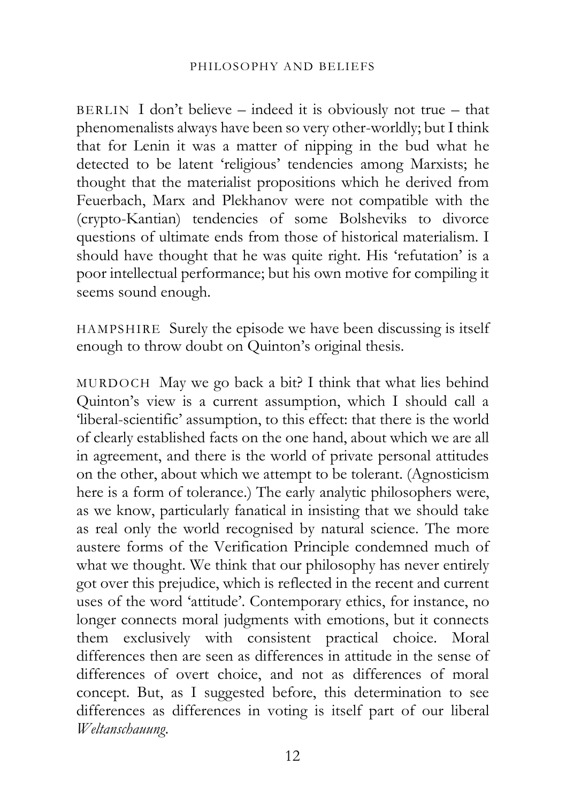BERLIN I don't believe – indeed it is obviously not true – that phenomenalists always have been so very other-worldly; but I think that for Lenin it was a matter of nipping in the bud what he detected to be latent 'religious' tendencies among Marxists; he thought that the materialist propositions which he derived from Feuerbach, Marx and Plekhanov were not compatible with the (crypto-Kantian) tendencies of some Bolsheviks to divorce questions of ultimate ends from those of historical materialism. I should have thought that he was quite right. His 'refutation' is a poor intellectual performance; but his own motive for compiling it seems sound enough.

HAMPSHIRE Surely the episode we have been discussing is itself enough to throw doubt on Quinton's original thesis.

MURDOCH May we go back a bit? I think that what lies behind Quinton's view is a current assumption, which I should call a 'liberal-scientific' assumption, to this effect: that there is the world of clearly established facts on the one hand, about which we are all in agreement, and there is the world of private personal attitudes on the other, about which we attempt to be tolerant. (Agnosticism here is a form of tolerance.) The early analytic philosophers were, as we know, particularly fanatical in insisting that we should take as real only the world recognised by natural science. The more austere forms of the Verification Principle condemned much of what we thought. We think that our philosophy has never entirely got over this prejudice, which is reflected in the recent and current uses of the word 'attitude'. Contemporary ethics, for instance, no longer connects moral judgments with emotions, but it connects them exclusively with consistent practical choice. Moral differences then are seen as differences in attitude in the sense of differences of overt choice, and not as differences of moral concept. But, as I suggested before, this determination to see differences as differences in voting is itself part of our liberal *Weltanschauung*.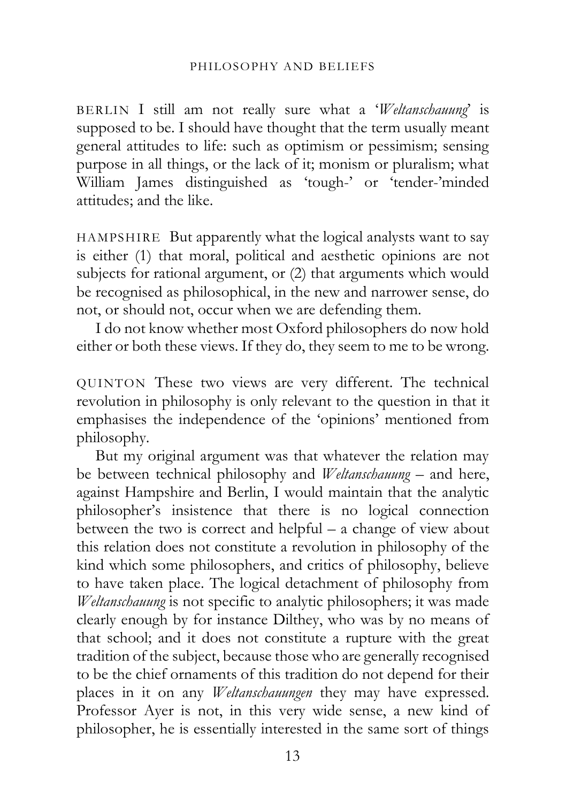BERLIN I still am not really sure what a '*Weltanschauung*' is supposed to be. I should have thought that the term usually meant general attitudes to life: such as optimism or pessimism; sensing purpose in all things, or the lack of it; monism or pluralism; what William James distinguished as 'tough-' or 'tender-'minded attitudes; and the like.

HAMPSHIRE But apparently what the logical analysts want to say is either (1) that moral, political and aesthetic opinions are not subjects for rational argument, or (2) that arguments which would be recognised as philosophical, in the new and narrower sense, do not, or should not, occur when we are defending them.

I do not know whether most Oxford philosophers do now hold either or both these views. If they do, they seem to me to be wrong.

QUINTON These two views are very different. The technical revolution in philosophy is only relevant to the question in that it emphasises the independence of the 'opinions' mentioned from philosophy.

But my original argument was that whatever the relation may be between technical philosophy and *Weltanschauung* – and here, against Hampshire and Berlin, I would maintain that the analytic philosopher's insistence that there is no logical connection between the two is correct and helpful – a change of view about this relation does not constitute a revolution in philosophy of the kind which some philosophers, and critics of philosophy, believe to have taken place. The logical detachment of philosophy from *Weltanschauung* is not specific to analytic philosophers; it was made clearly enough by for instance Dilthey, who was by no means of that school; and it does not constitute a rupture with the great tradition of the subject, because those who are generally recognised to be the chief ornaments of this tradition do not depend for their places in it on any *Weltanschauungen* they may have expressed. Professor Ayer is not, in this very wide sense, a new kind of philosopher, he is essentially interested in the same sort of things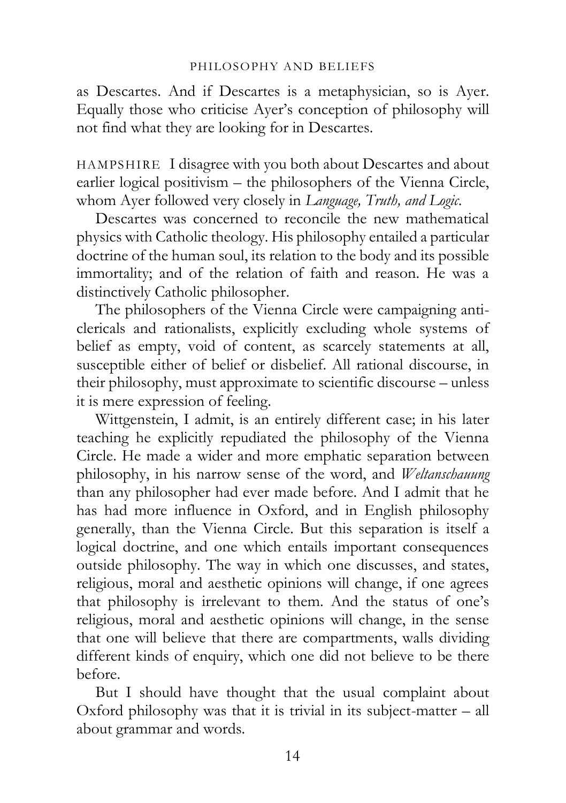as Descartes. And if Descartes is a metaphysician, so is Ayer. Equally those who criticise Ayer's conception of philosophy will not find what they are looking for in Descartes.

HAMPSHIRE I disagree with you both about Descartes and about earlier logical positivism – the philosophers of the Vienna Circle, whom Ayer followed very closely in *Language, Truth, and Logic*.

Descartes was concerned to reconcile the new mathematical physics with Catholic theology. His philosophy entailed a particular doctrine of the human soul, its relation to the body and its possible immortality; and of the relation of faith and reason. He was a distinctively Catholic philosopher.

The philosophers of the Vienna Circle were campaigning anticlericals and rationalists, explicitly excluding whole systems of belief as empty, void of content, as scarcely statements at all, susceptible either of belief or disbelief. All rational discourse, in their philosophy, must approximate to scientific discourse – unless it is mere expression of feeling.

Wittgenstein, I admit, is an entirely different case; in his later teaching he explicitly repudiated the philosophy of the Vienna Circle. He made a wider and more emphatic separation between philosophy, in his narrow sense of the word, and *Weltanschauung* than any philosopher had ever made before. And I admit that he has had more influence in Oxford, and in English philosophy generally, than the Vienna Circle. But this separation is itself a logical doctrine, and one which entails important consequences outside philosophy. The way in which one discusses, and states, religious, moral and aesthetic opinions will change, if one agrees that philosophy is irrelevant to them. And the status of one's religious, moral and aesthetic opinions will change, in the sense that one will believe that there are compartments, walls dividing different kinds of enquiry, which one did not believe to be there before.

But I should have thought that the usual complaint about Oxford philosophy was that it is trivial in its subject-matter – all about grammar and words.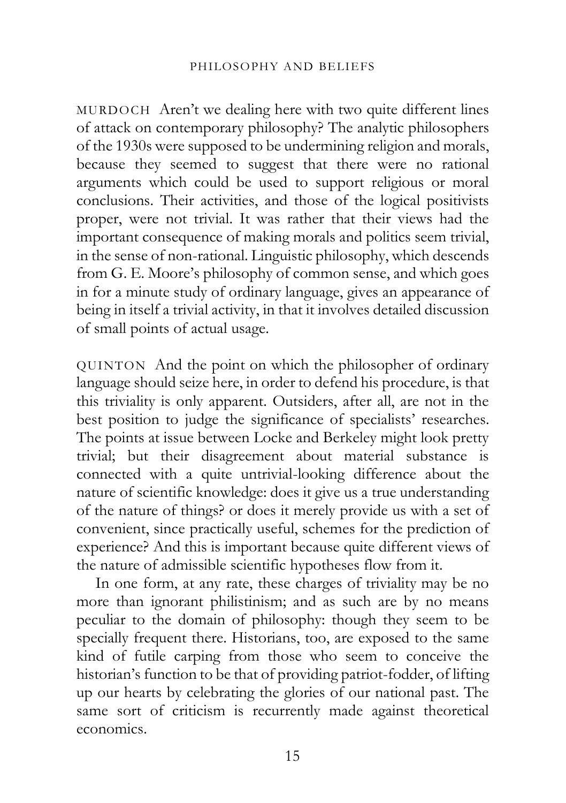MURDOCH Aren't we dealing here with two quite different lines of attack on contemporary philosophy? The analytic philosophers of the 1930s were supposed to be undermining religion and morals, because they seemed to suggest that there were no rational arguments which could be used to support religious or moral conclusions. Their activities, and those of the logical positivists proper, were not trivial. It was rather that their views had the important consequence of making morals and politics seem trivial, in the sense of non-rational. Linguistic philosophy, which descends from G. E. Moore's philosophy of common sense, and which goes in for a minute study of ordinary language, gives an appearance of being in itself a trivial activity, in that it involves detailed discussion of small points of actual usage.

QUINTON And the point on which the philosopher of ordinary language should seize here, in order to defend his procedure, is that this triviality is only apparent. Outsiders, after all, are not in the best position to judge the significance of specialists' researches. The points at issue between Locke and Berkeley might look pretty trivial; but their disagreement about material substance is connected with a quite untrivial-looking difference about the nature of scientific knowledge: does it give us a true understanding of the nature of things? or does it merely provide us with a set of convenient, since practically useful, schemes for the prediction of experience? And this is important because quite different views of the nature of admissible scientific hypotheses flow from it.

In one form, at any rate, these charges of triviality may be no more than ignorant philistinism; and as such are by no means peculiar to the domain of philosophy: though they seem to be specially frequent there. Historians, too, are exposed to the same kind of futile carping from those who seem to conceive the historian's function to be that of providing patriot-fodder, of lifting up our hearts by celebrating the glories of our national past. The same sort of criticism is recurrently made against theoretical economics.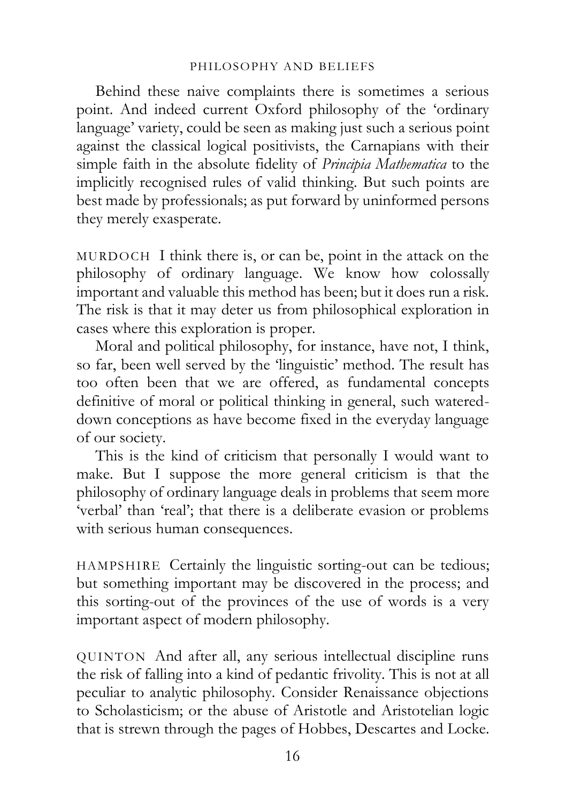Behind these naive complaints there is sometimes a serious point. And indeed current Oxford philosophy of the 'ordinary language' variety, could be seen as making just such a serious point against the classical logical positivists, the Carnapians with their simple faith in the absolute fidelity of *Principia Mathematica* to the implicitly recognised rules of valid thinking. But such points are best made by professionals; as put forward by uninformed persons they merely exasperate.

MURDOCH I think there is, or can be, point in the attack on the philosophy of ordinary language. We know how colossally important and valuable this method has been; but it does run a risk. The risk is that it may deter us from philosophical exploration in cases where this exploration is proper.

Moral and political philosophy, for instance, have not, I think, so far, been well served by the 'linguistic' method. The result has too often been that we are offered, as fundamental concepts definitive of moral or political thinking in general, such watereddown conceptions as have become fixed in the everyday language of our society.

This is the kind of criticism that personally I would want to make. But I suppose the more general criticism is that the philosophy of ordinary language deals in problems that seem more 'verbal' than 'real'; that there is a deliberate evasion or problems with serious human consequences.

HAMPSHIRE Certainly the linguistic sorting-out can be tedious; but something important may be discovered in the process; and this sorting-out of the provinces of the use of words is a very important aspect of modern philosophy.

QUINTON And after all, any serious intellectual discipline runs the risk of falling into a kind of pedantic frivolity. This is not at all peculiar to analytic philosophy. Consider Renaissance objections to Scholasticism; or the abuse of Aristotle and Aristotelian logic that is strewn through the pages of Hobbes, Descartes and Locke.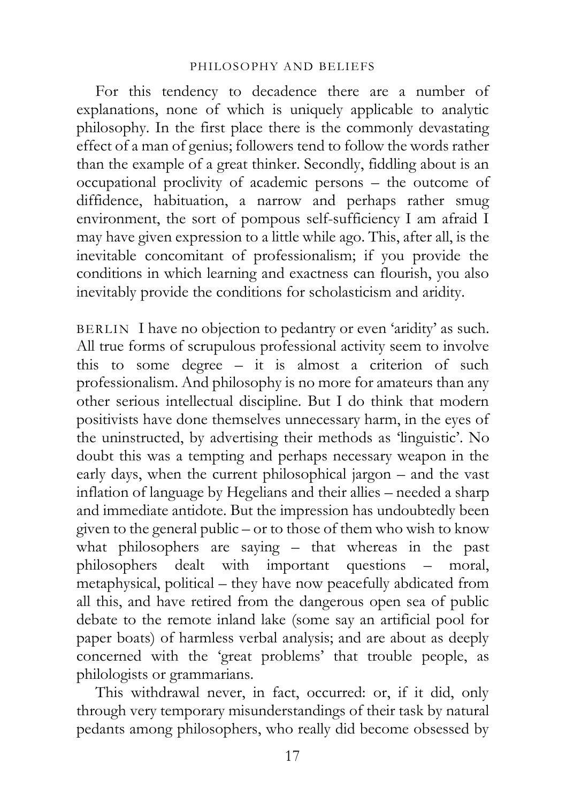For this tendency to decadence there are a number of explanations, none of which is uniquely applicable to analytic philosophy. In the first place there is the commonly devastating effect of a man of genius; followers tend to follow the words rather than the example of a great thinker. Secondly, fiddling about is an occupational proclivity of academic persons – the outcome of diffidence, habituation, a narrow and perhaps rather smug environment, the sort of pompous self-sufficiency I am afraid I may have given expression to a little while ago. This, after all, is the inevitable concomitant of professionalism; if you provide the conditions in which learning and exactness can flourish, you also inevitably provide the conditions for scholasticism and aridity.

BERLIN I have no objection to pedantry or even 'aridity' as such. All true forms of scrupulous professional activity seem to involve this to some degree – it is almost a criterion of such professionalism. And philosophy is no more for amateurs than any other serious intellectual discipline. But I do think that modern positivists have done themselves unnecessary harm, in the eyes of the uninstructed, by advertising their methods as 'linguistic'. No doubt this was a tempting and perhaps necessary weapon in the early days, when the current philosophical jargon – and the vast inflation of language by Hegelians and their allies – needed a sharp and immediate antidote. But the impression has undoubtedly been given to the general public – or to those of them who wish to know what philosophers are saying – that whereas in the past philosophers dealt with important questions – moral, metaphysical, political – they have now peacefully abdicated from all this, and have retired from the dangerous open sea of public debate to the remote inland lake (some say an artificial pool for paper boats) of harmless verbal analysis; and are about as deeply concerned with the 'great problems' that trouble people, as philologists or grammarians.

This withdrawal never, in fact, occurred: or, if it did, only through very temporary misunderstandings of their task by natural pedants among philosophers, who really did become obsessed by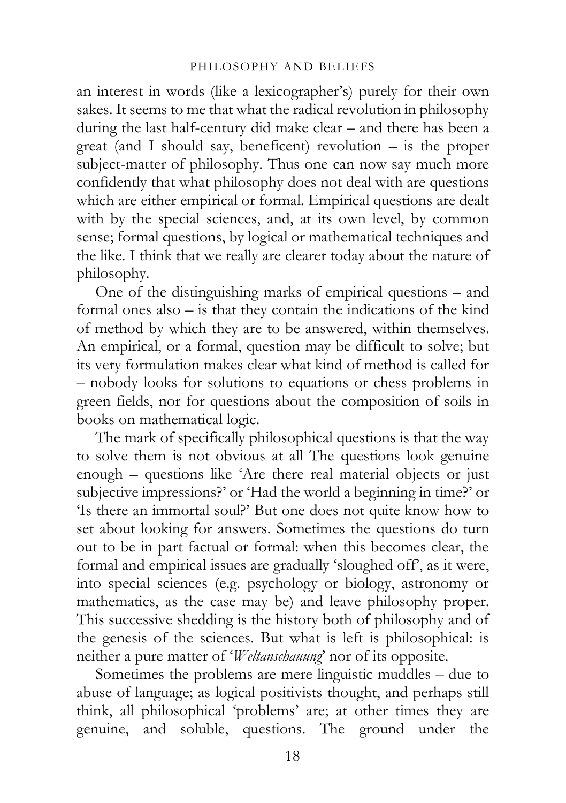an interest in words (like a lexicographer's) purely for their own sakes. It seems to me that what the radical revolution in philosophy during the last half-century did make clear – and there has been a great (and I should say, beneficent) revolution – is the proper subject-matter of philosophy. Thus one can now say much more confidently that what philosophy does not deal with are questions which are either empirical or formal. Empirical questions are dealt with by the special sciences, and, at its own level, by common sense; formal questions, by logical or mathematical techniques and the like. I think that we really are clearer today about the nature of philosophy.

One of the distinguishing marks of empirical questions – and formal ones also – is that they contain the indications of the kind of method by which they are to be answered, within themselves. An empirical, or a formal, question may be difficult to solve; but its very formulation makes clear what kind of method is called for – nobody looks for solutions to equations or chess problems in green fields, nor for questions about the composition of soils in books on mathematical logic.

The mark of specifically philosophical questions is that the way to solve them is not obvious at all The questions look genuine enough – questions like 'Are there real material objects or just subjective impressions?' or 'Had the world a beginning in time?' or 'Is there an immortal soul?' But one does not quite know how to set about looking for answers. Sometimes the questions do turn out to be in part factual or formal: when this becomes clear, the formal and empirical issues are gradually 'sloughed off', as it were, into special sciences (e.g. psychology or biology, astronomy or mathematics, as the case may be) and leave philosophy proper. This successive shedding is the history both of philosophy and of the genesis of the sciences. But what is left is philosophical: is neither a pure matter of '*Weltanschauung*' nor of its opposite.

Sometimes the problems are mere linguistic muddles – due to abuse of language; as logical positivists thought, and perhaps still think, all philosophical 'problems' are; at other times they are genuine, and soluble, questions. The ground under the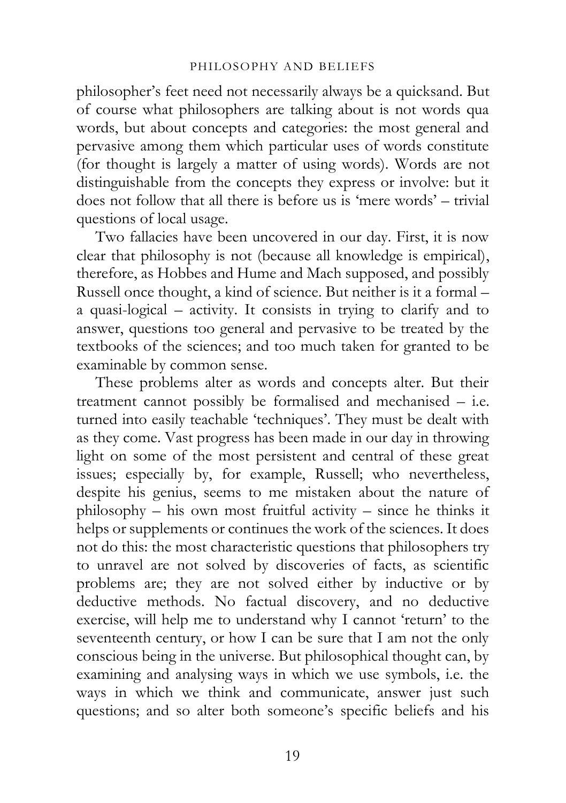philosopher's feet need not necessarily always be a quicksand. But of course what philosophers are talking about is not words qua words, but about concepts and categories: the most general and pervasive among them which particular uses of words constitute (for thought is largely a matter of using words). Words are not distinguishable from the concepts they express or involve: but it does not follow that all there is before us is 'mere words' – trivial questions of local usage.

Two fallacies have been uncovered in our day. First, it is now clear that philosophy is not (because all knowledge is empirical), therefore, as Hobbes and Hume and Mach supposed, and possibly Russell once thought, a kind of science. But neither is it a formal – a quasi-logical – activity. It consists in trying to clarify and to answer, questions too general and pervasive to be treated by the textbooks of the sciences; and too much taken for granted to be examinable by common sense.

These problems alter as words and concepts alter. But their treatment cannot possibly be formalised and mechanised – i.e. turned into easily teachable 'techniques'. They must be dealt with as they come. Vast progress has been made in our day in throwing light on some of the most persistent and central of these great issues; especially by, for example, Russell; who nevertheless, despite his genius, seems to me mistaken about the nature of philosophy – his own most fruitful activity – since he thinks it helps or supplements or continues the work of the sciences. It does not do this: the most characteristic questions that philosophers try to unravel are not solved by discoveries of facts, as scientific problems are; they are not solved either by inductive or by deductive methods. No factual discovery, and no deductive exercise, will help me to understand why I cannot 'return' to the seventeenth century, or how I can be sure that I am not the only conscious being in the universe. But philosophical thought can, by examining and analysing ways in which we use symbols, i.e. the ways in which we think and communicate, answer just such questions; and so alter both someone's specific beliefs and his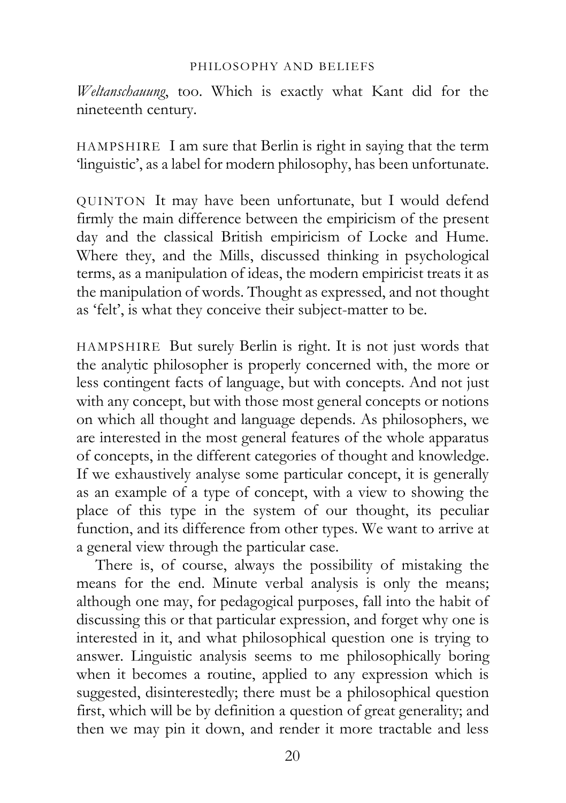*Weltanschauung*, too. Which is exactly what Kant did for the nineteenth century.

HAMPSHIRE I am sure that Berlin is right in saying that the term 'linguistic', as a label for modern philosophy, has been unfortunate.

QUINTON It may have been unfortunate, but I would defend firmly the main difference between the empiricism of the present day and the classical British empiricism of Locke and Hume. Where they, and the Mills, discussed thinking in psychological terms, as a manipulation of ideas, the modern empiricist treats it as the manipulation of words. Thought as expressed, and not thought as 'felt', is what they conceive their subject-matter to be.

HAMPSHIRE But surely Berlin is right. It is not just words that the analytic philosopher is properly concerned with, the more or less contingent facts of language, but with concepts. And not just with any concept, but with those most general concepts or notions on which all thought and language depends. As philosophers, we are interested in the most general features of the whole apparatus of concepts, in the different categories of thought and knowledge. If we exhaustively analyse some particular concept, it is generally as an example of a type of concept, with a view to showing the place of this type in the system of our thought, its peculiar function, and its difference from other types. We want to arrive at a general view through the particular case.

There is, of course, always the possibility of mistaking the means for the end. Minute verbal analysis is only the means; although one may, for pedagogical purposes, fall into the habit of discussing this or that particular expression, and forget why one is interested in it, and what philosophical question one is trying to answer. Linguistic analysis seems to me philosophically boring when it becomes a routine, applied to any expression which is suggested, disinterestedly; there must be a philosophical question first, which will be by definition a question of great generality; and then we may pin it down, and render it more tractable and less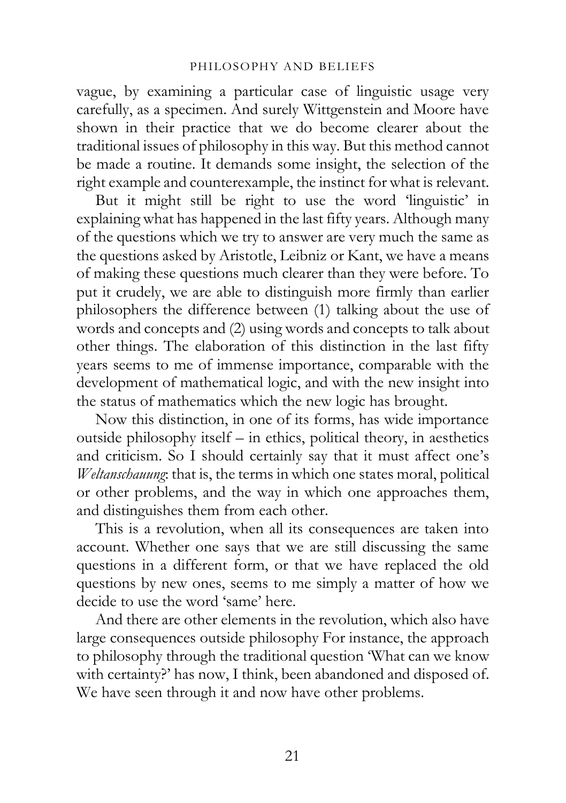vague, by examining a particular case of linguistic usage very carefully, as a specimen. And surely Wittgenstein and Moore have shown in their practice that we do become clearer about the traditional issues of philosophy in this way. But this method cannot be made a routine. It demands some insight, the selection of the right example and counterexample, the instinct for what is relevant.

But it might still be right to use the word 'linguistic' in explaining what has happened in the last fifty years. Although many of the questions which we try to answer are very much the same as the questions asked by Aristotle, Leibniz or Kant, we have a means of making these questions much clearer than they were before. To put it crudely, we are able to distinguish more firmly than earlier philosophers the difference between (1) talking about the use of words and concepts and (2) using words and concepts to talk about other things. The elaboration of this distinction in the last fifty years seems to me of immense importance, comparable with the development of mathematical logic, and with the new insight into the status of mathematics which the new logic has brought.

Now this distinction, in one of its forms, has wide importance outside philosophy itself – in ethics, political theory, in aesthetics and criticism. So I should certainly say that it must affect one's *Weltanschauung*: that is, the terms in which one states moral, political or other problems, and the way in which one approaches them, and distinguishes them from each other.

This is a revolution, when all its consequences are taken into account. Whether one says that we are still discussing the same questions in a different form, or that we have replaced the old questions by new ones, seems to me simply a matter of how we decide to use the word 'same' here.

And there are other elements in the revolution, which also have large consequences outside philosophy For instance, the approach to philosophy through the traditional question 'What can we know with certainty?' has now, I think, been abandoned and disposed of. We have seen through it and now have other problems.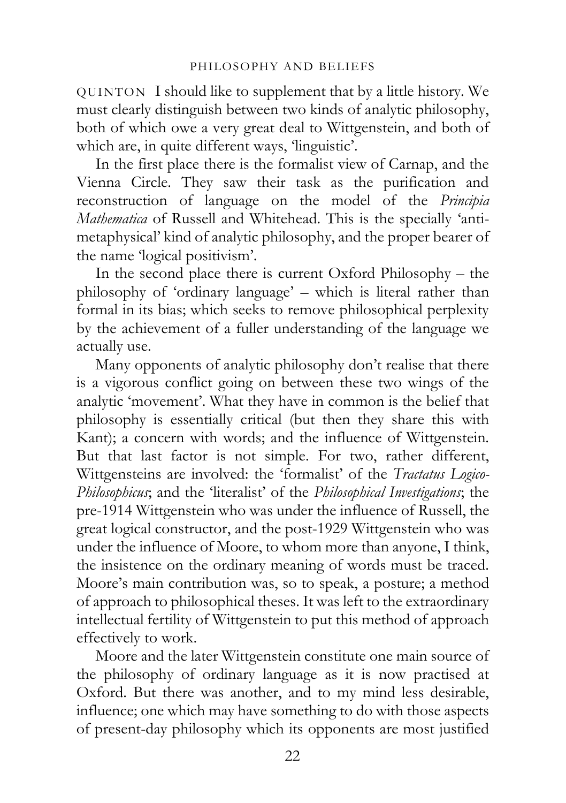QUINTON I should like to supplement that by a little history. We must clearly distinguish between two kinds of analytic philosophy, both of which owe a very great deal to Wittgenstein, and both of which are, in quite different ways, 'linguistic'.

In the first place there is the formalist view of Carnap, and the Vienna Circle. They saw their task as the purification and reconstruction of language on the model of the *Principia Mathematica* of Russell and Whitehead. This is the specially 'antimetaphysical' kind of analytic philosophy, and the proper bearer of the name 'logical positivism'.

In the second place there is current Oxford Philosophy – the philosophy of 'ordinary language' – which is literal rather than formal in its bias; which seeks to remove philosophical perplexity by the achievement of a fuller understanding of the language we actually use.

Many opponents of analytic philosophy don't realise that there is a vigorous conflict going on between these two wings of the analytic 'movement'. What they have in common is the belief that philosophy is essentially critical (but then they share this with Kant); a concern with words; and the influence of Wittgenstein. But that last factor is not simple. For two, rather different, Wittgensteins are involved: the 'formalist' of the *Tractatus Logico-Philosophicus*; and the 'literalist' of the *Philosophical Investigations*; the pre-1914 Wittgenstein who was under the influence of Russell, the great logical constructor, and the post-1929 Wittgenstein who was under the influence of Moore, to whom more than anyone, I think, the insistence on the ordinary meaning of words must be traced. Moore's main contribution was, so to speak, a posture; a method of approach to philosophical theses. It was left to the extraordinary intellectual fertility of Wittgenstein to put this method of approach effectively to work.

Moore and the later Wittgenstein constitute one main source of the philosophy of ordinary language as it is now practised at Oxford. But there was another, and to my mind less desirable, influence; one which may have something to do with those aspects of present-day philosophy which its opponents are most justified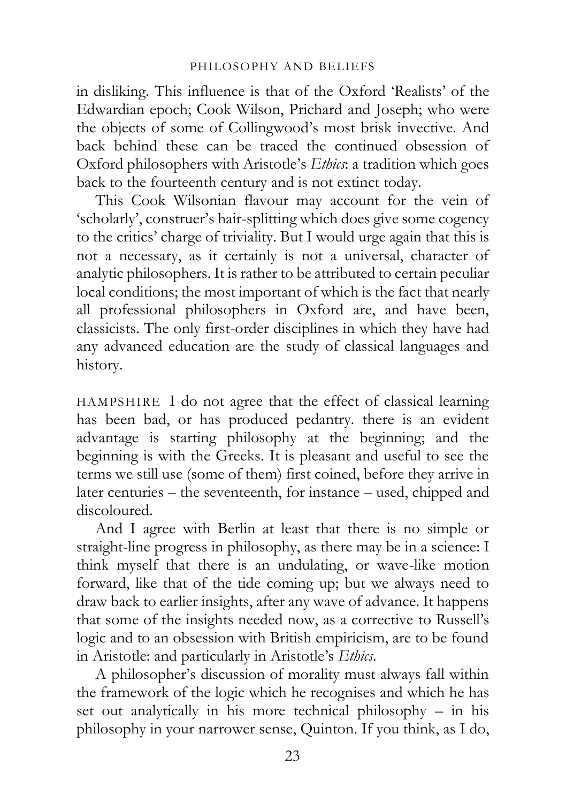in disliking. This influence is that of the Oxford 'Realists' of the Edwardian epoch; Cook Wilson, Prichard and Joseph; who were the objects of some of Collingwood's most brisk invective. And back behind these can be traced the continued obsession of Oxford philosophers with Aristotle's *Ethics*: a tradition which goes back to the fourteenth century and is not extinct today.

This Cook Wilsonian flavour may account for the vein of 'scholarly', construer's hair-splitting which does give some cogency to the critics' charge of triviality. But I would urge again that this is not a necessary, as it certainly is not a universal, character of analytic philosophers. It is rather to be attributed to certain peculiar local conditions; the most important of which is the fact that nearly all professional philosophers in Oxford are, and have been, classicists. The only first-order disciplines in which they have had any advanced education are the study of classical languages and history.

HAMPSHIRE I do not agree that the effect of classical learning has been bad, or has produced pedantry. there is an evident advantage is starting philosophy at the beginning; and the beginning is with the Greeks. It is pleasant and useful to see the terms we still use (some of them) first coined, before they arrive in later centuries – the seventeenth, for instance – used, chipped and discoloured.

And I agree with Berlin at least that there is no simple or straight-line progress in philosophy, as there may be in a science: I think myself that there is an undulating, or wave-like motion forward, like that of the tide coming up; but we always need to draw back to earlier insights, after any wave of advance. It happens that some of the insights needed now, as a corrective to Russell's logic and to an obsession with British empiricism, are to be found in Aristotle: and particularly in Aristotle's *Ethics*.

A philosopher's discussion of morality must always fall within the framework of the logic which he recognises and which he has set out analytically in his more technical philosophy – in his philosophy in your narrower sense, Quinton. If you think, as I do,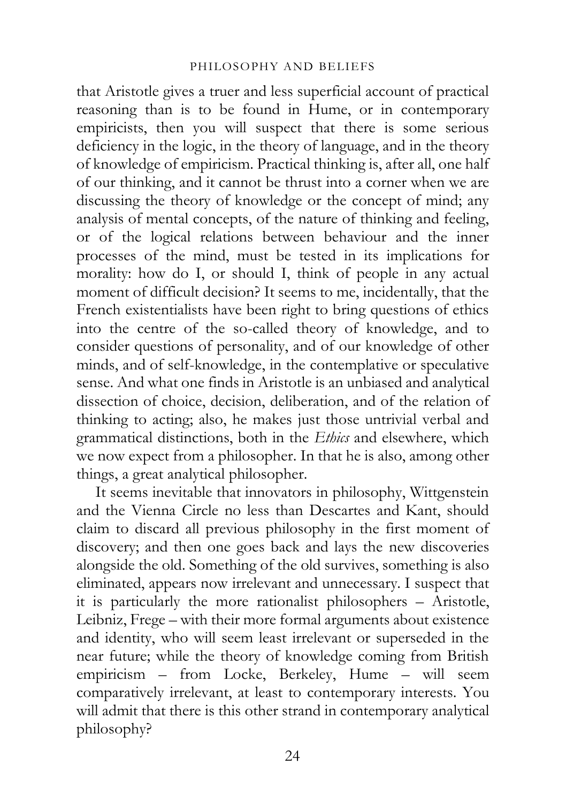that Aristotle gives a truer and less superficial account of practical reasoning than is to be found in Hume, or in contemporary empiricists, then you will suspect that there is some serious deficiency in the logic, in the theory of language, and in the theory of knowledge of empiricism. Practical thinking is, after all, one half of our thinking, and it cannot be thrust into a corner when we are discussing the theory of knowledge or the concept of mind; any analysis of mental concepts, of the nature of thinking and feeling, or of the logical relations between behaviour and the inner processes of the mind, must be tested in its implications for morality: how do I, or should I, think of people in any actual moment of difficult decision? It seems to me, incidentally, that the French existentialists have been right to bring questions of ethics into the centre of the so-called theory of knowledge, and to consider questions of personality, and of our knowledge of other minds, and of self-knowledge, in the contemplative or speculative sense. And what one finds in Aristotle is an unbiased and analytical dissection of choice, decision, deliberation, and of the relation of thinking to acting; also, he makes just those untrivial verbal and grammatical distinctions, both in the *Ethics* and elsewhere, which we now expect from a philosopher. In that he is also, among other things, a great analytical philosopher.

It seems inevitable that innovators in philosophy, Wittgenstein and the Vienna Circle no less than Descartes and Kant, should claim to discard all previous philosophy in the first moment of discovery; and then one goes back and lays the new discoveries alongside the old. Something of the old survives, something is also eliminated, appears now irrelevant and unnecessary. I suspect that it is particularly the more rationalist philosophers – Aristotle, Leibniz, Frege – with their more formal arguments about existence and identity, who will seem least irrelevant or superseded in the near future; while the theory of knowledge coming from British empiricism – from Locke, Berkeley, Hume – will seem comparatively irrelevant, at least to contemporary interests. You will admit that there is this other strand in contemporary analytical philosophy?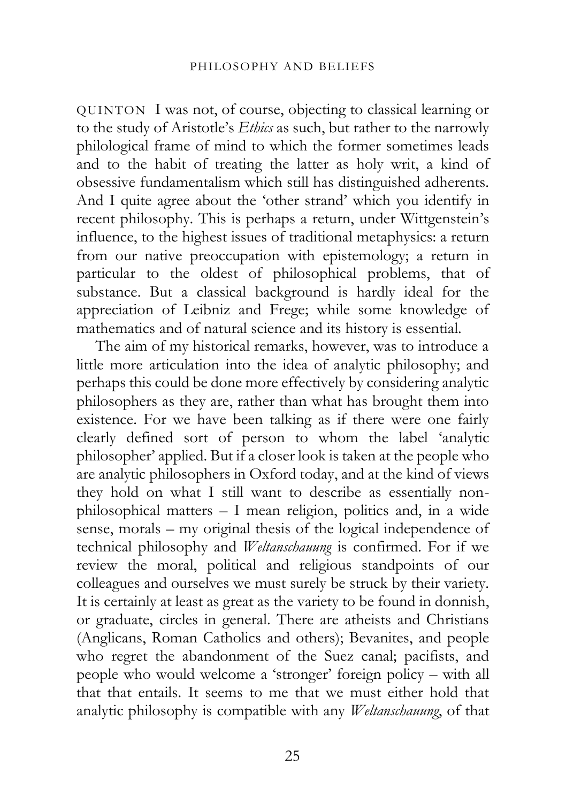QUINTON I was not, of course, objecting to classical learning or to the study of Aristotle's *Ethics* as such, but rather to the narrowly philological frame of mind to which the former sometimes leads and to the habit of treating the latter as holy writ, a kind of obsessive fundamentalism which still has distinguished adherents. And I quite agree about the 'other strand' which you identify in recent philosophy. This is perhaps a return, under Wittgenstein's influence, to the highest issues of traditional metaphysics: a return from our native preoccupation with epistemology; a return in particular to the oldest of philosophical problems, that of substance. But a classical background is hardly ideal for the appreciation of Leibniz and Frege; while some knowledge of mathematics and of natural science and its history is essential.

The aim of my historical remarks, however, was to introduce a little more articulation into the idea of analytic philosophy; and perhaps this could be done more effectively by considering analytic philosophers as they are, rather than what has brought them into existence. For we have been talking as if there were one fairly clearly defined sort of person to whom the label 'analytic philosopher' applied. But if a closer look is taken at the people who are analytic philosophers in Oxford today, and at the kind of views they hold on what I still want to describe as essentially nonphilosophical matters – I mean religion, politics and, in a wide sense, morals – my original thesis of the logical independence of technical philosophy and *Weltanschauung* is confirmed. For if we review the moral, political and religious standpoints of our colleagues and ourselves we must surely be struck by their variety. It is certainly at least as great as the variety to be found in donnish, or graduate, circles in general. There are atheists and Christians (Anglicans, Roman Catholics and others); Bevanites, and people who regret the abandonment of the Suez canal; pacifists, and people who would welcome a 'stronger' foreign policy – with all that that entails. It seems to me that we must either hold that analytic philosophy is compatible with any *Weltanschauung*, of that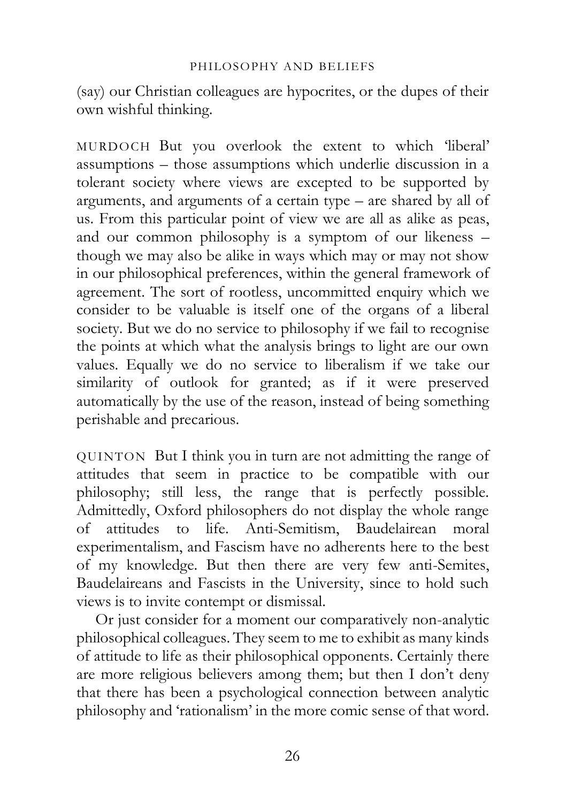(say) our Christian colleagues are hypocrites, or the dupes of their own wishful thinking.

MURDOCH But you overlook the extent to which 'liberal' assumptions – those assumptions which underlie discussion in a tolerant society where views are excepted to be supported by arguments, and arguments of a certain type – are shared by all of us. From this particular point of view we are all as alike as peas, and our common philosophy is a symptom of our likeness – though we may also be alike in ways which may or may not show in our philosophical preferences, within the general framework of agreement. The sort of rootless, uncommitted enquiry which we consider to be valuable is itself one of the organs of a liberal society. But we do no service to philosophy if we fail to recognise the points at which what the analysis brings to light are our own values. Equally we do no service to liberalism if we take our similarity of outlook for granted; as if it were preserved automatically by the use of the reason, instead of being something perishable and precarious.

QUINTON But I think you in turn are not admitting the range of attitudes that seem in practice to be compatible with our philosophy; still less, the range that is perfectly possible. Admittedly, Oxford philosophers do not display the whole range of attitudes to life. Anti-Semitism, Baudelairean moral experimentalism, and Fascism have no adherents here to the best of my knowledge. But then there are very few anti-Semites, Baudelaireans and Fascists in the University, since to hold such views is to invite contempt or dismissal.

Or just consider for a moment our comparatively non-analytic philosophical colleagues. They seem to me to exhibit as many kinds of attitude to life as their philosophical opponents. Certainly there are more religious believers among them; but then I don't deny that there has been a psychological connection between analytic philosophy and 'rationalism' in the more comic sense of that word.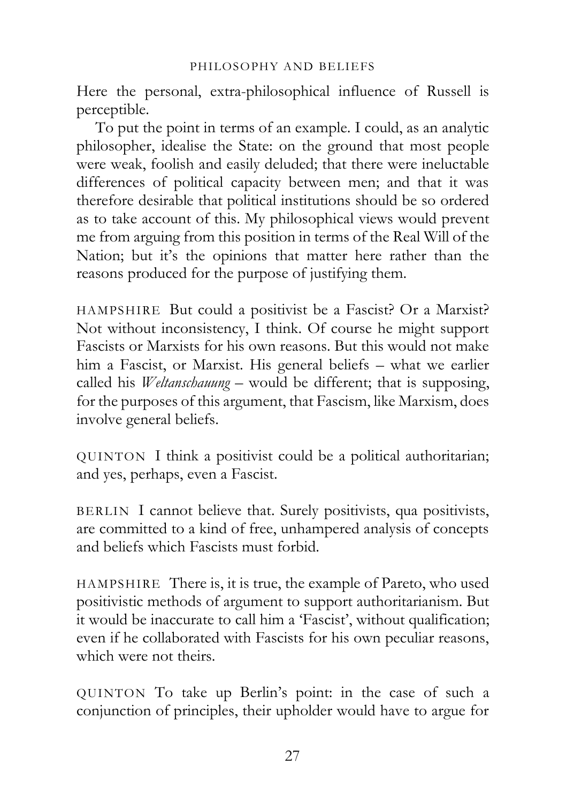Here the personal, extra-philosophical influence of Russell is perceptible.

To put the point in terms of an example. I could, as an analytic philosopher, idealise the State: on the ground that most people were weak, foolish and easily deluded; that there were ineluctable differences of political capacity between men; and that it was therefore desirable that political institutions should be so ordered as to take account of this. My philosophical views would prevent me from arguing from this position in terms of the Real Will of the Nation; but it's the opinions that matter here rather than the reasons produced for the purpose of justifying them.

HAMPSHIRE But could a positivist be a Fascist? Or a Marxist? Not without inconsistency, I think. Of course he might support Fascists or Marxists for his own reasons. But this would not make him a Fascist, or Marxist. His general beliefs – what we earlier called his *Weltanschauung* – would be different; that is supposing, for the purposes of this argument, that Fascism, like Marxism, does involve general beliefs.

QUINTON I think a positivist could be a political authoritarian; and yes, perhaps, even a Fascist.

BERLIN I cannot believe that. Surely positivists, qua positivists, are committed to a kind of free, unhampered analysis of concepts and beliefs which Fascists must forbid.

HAMPSHIRE There is, it is true, the example of Pareto, who used positivistic methods of argument to support authoritarianism. But it would be inaccurate to call him a 'Fascist', without qualification; even if he collaborated with Fascists for his own peculiar reasons, which were not theirs.

QUINTON To take up Berlin's point: in the case of such a conjunction of principles, their upholder would have to argue for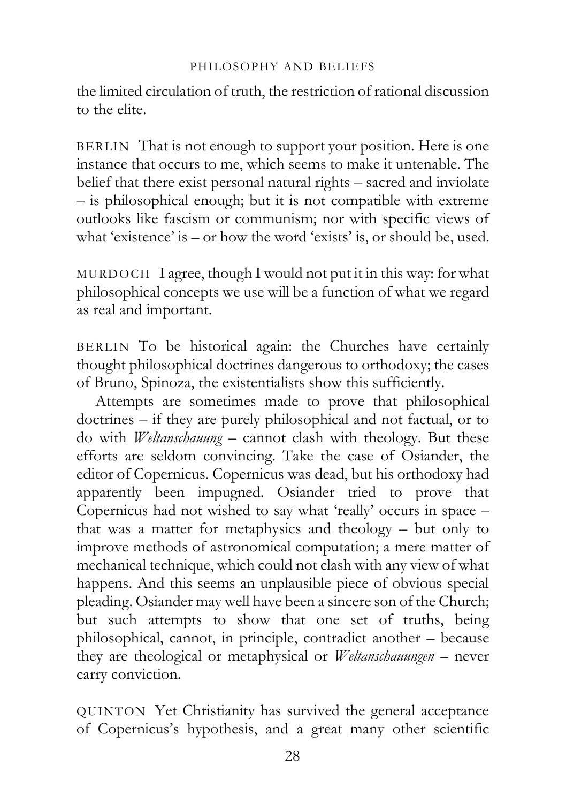the limited circulation of truth, the restriction of rational discussion to the elite.

BERLIN That is not enough to support your position. Here is one instance that occurs to me, which seems to make it untenable. The belief that there exist personal natural rights – sacred and inviolate – is philosophical enough; but it is not compatible with extreme outlooks like fascism or communism; nor with specific views of what 'existence' is – or how the word 'exists' is, or should be, used.

MURDOCH I agree, though I would not put it in this way: for what philosophical concepts we use will be a function of what we regard as real and important.

BERLIN To be historical again: the Churches have certainly thought philosophical doctrines dangerous to orthodoxy; the cases of Bruno, Spinoza, the existentialists show this sufficiently.

Attempts are sometimes made to prove that philosophical doctrines – if they are purely philosophical and not factual, or to do with *Weltanschauung* – cannot clash with theology. But these efforts are seldom convincing. Take the case of Osiander, the editor of Copernicus. Copernicus was dead, but his orthodoxy had apparently been impugned. Osiander tried to prove that Copernicus had not wished to say what 'really' occurs in space – that was a matter for metaphysics and theology – but only to improve methods of astronomical computation; a mere matter of mechanical technique, which could not clash with any view of what happens. And this seems an unplausible piece of obvious special pleading. Osiander may well have been a sincere son of the Church; but such attempts to show that one set of truths, being philosophical, cannot, in principle, contradict another – because they are theological or metaphysical or *Weltanschauungen* – never carry conviction.

QUINTON Yet Christianity has survived the general acceptance of Copernicus's hypothesis, and a great many other scientific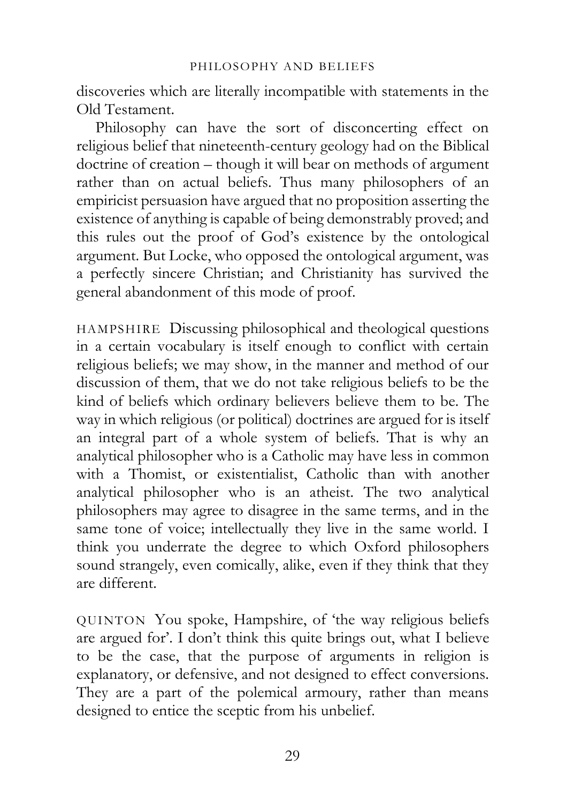discoveries which are literally incompatible with statements in the Old Testament.

Philosophy can have the sort of disconcerting effect on religious belief that nineteenth-century geology had on the Biblical doctrine of creation – though it will bear on methods of argument rather than on actual beliefs. Thus many philosophers of an empiricist persuasion have argued that no proposition asserting the existence of anything is capable of being demonstrably proved; and this rules out the proof of God's existence by the ontological argument. But Locke, who opposed the ontological argument, was a perfectly sincere Christian; and Christianity has survived the general abandonment of this mode of proof.

HAMPSHIRE Discussing philosophical and theological questions in a certain vocabulary is itself enough to conflict with certain religious beliefs; we may show, in the manner and method of our discussion of them, that we do not take religious beliefs to be the kind of beliefs which ordinary believers believe them to be. The way in which religious (or political) doctrines are argued for is itself an integral part of a whole system of beliefs. That is why an analytical philosopher who is a Catholic may have less in common with a Thomist, or existentialist, Catholic than with another analytical philosopher who is an atheist. The two analytical philosophers may agree to disagree in the same terms, and in the same tone of voice; intellectually they live in the same world. I think you underrate the degree to which Oxford philosophers sound strangely, even comically, alike, even if they think that they are different.

QUINTON You spoke, Hampshire, of 'the way religious beliefs are argued for'. I don't think this quite brings out, what I believe to be the case, that the purpose of arguments in religion is explanatory, or defensive, and not designed to effect conversions. They are a part of the polemical armoury, rather than means designed to entice the sceptic from his unbelief.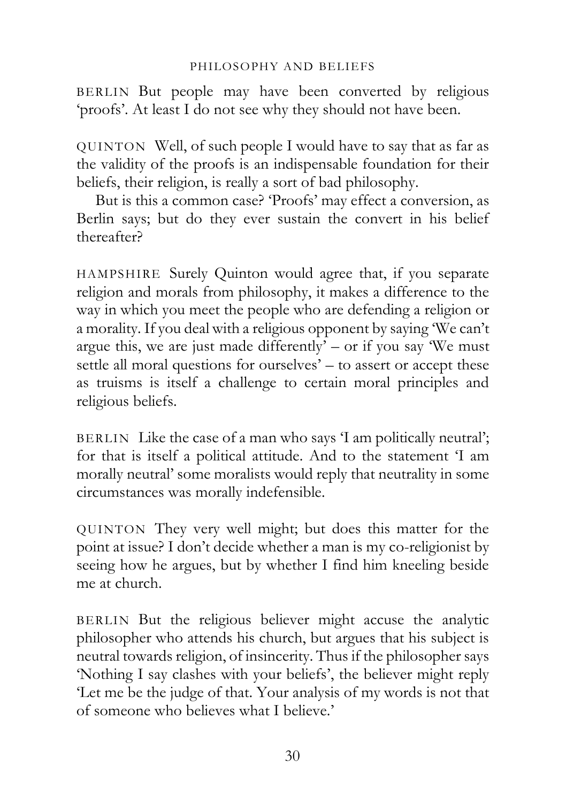BERLIN But people may have been converted by religious 'proofs'. At least I do not see why they should not have been.

QUINTON Well, of such people I would have to say that as far as the validity of the proofs is an indispensable foundation for their beliefs, their religion, is really a sort of bad philosophy.

But is this a common case? 'Proofs' may effect a conversion, as Berlin says; but do they ever sustain the convert in his belief thereafter?

HAMPSHIRE Surely Quinton would agree that, if you separate religion and morals from philosophy, it makes a difference to the way in which you meet the people who are defending a religion or a morality. If you deal with a religious opponent by saying 'We can't argue this, we are just made differently'  $-$  or if you say 'We must settle all moral questions for ourselves' – to assert or accept these as truisms is itself a challenge to certain moral principles and religious beliefs.

BERLIN Like the case of a man who says 'I am politically neutral'; for that is itself a political attitude. And to the statement 'I am morally neutral' some moralists would reply that neutrality in some circumstances was morally indefensible.

QUINTON They very well might; but does this matter for the point at issue? I don't decide whether a man is my co-religionist by seeing how he argues, but by whether I find him kneeling beside me at church.

BERLIN But the religious believer might accuse the analytic philosopher who attends his church, but argues that his subject is neutral towards religion, of insincerity. Thus if the philosopher says 'Nothing I say clashes with your beliefs', the believer might reply 'Let me be the judge of that. Your analysis of my words is not that of someone who believes what I believe.'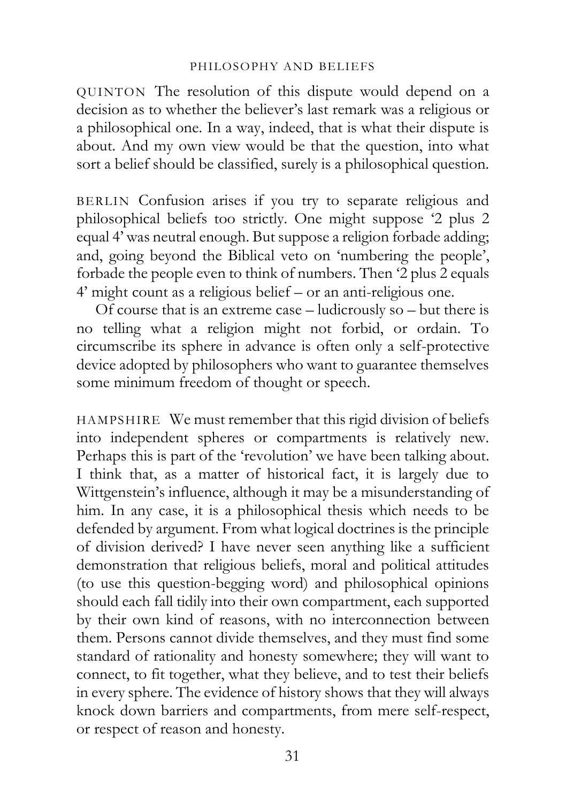QUINTON The resolution of this dispute would depend on a decision as to whether the believer's last remark was a religious or a philosophical one. In a way, indeed, that is what their dispute is about. And my own view would be that the question, into what sort a belief should be classified, surely is a philosophical question.

BERLIN Confusion arises if you try to separate religious and philosophical beliefs too strictly. One might suppose '2 plus 2 equal 4' was neutral enough. But suppose a religion forbade adding; and, going beyond the Biblical veto on 'numbering the people', forbade the people even to think of numbers. Then '2 plus 2 equals 4' might count as a religious belief – or an anti-religious one.

Of course that is an extreme case – ludicrously so – but there is no telling what a religion might not forbid, or ordain. To circumscribe its sphere in advance is often only a self-protective device adopted by philosophers who want to guarantee themselves some minimum freedom of thought or speech.

HAMPSHIRE We must remember that this rigid division of beliefs into independent spheres or compartments is relatively new. Perhaps this is part of the 'revolution' we have been talking about. I think that, as a matter of historical fact, it is largely due to Wittgenstein's influence, although it may be a misunderstanding of him. In any case, it is a philosophical thesis which needs to be defended by argument. From what logical doctrines is the principle of division derived? I have never seen anything like a sufficient demonstration that religious beliefs, moral and political attitudes (to use this question-begging word) and philosophical opinions should each fall tidily into their own compartment, each supported by their own kind of reasons, with no interconnection between them. Persons cannot divide themselves, and they must find some standard of rationality and honesty somewhere; they will want to connect, to fit together, what they believe, and to test their beliefs in every sphere. The evidence of history shows that they will always knock down barriers and compartments, from mere self-respect, or respect of reason and honesty.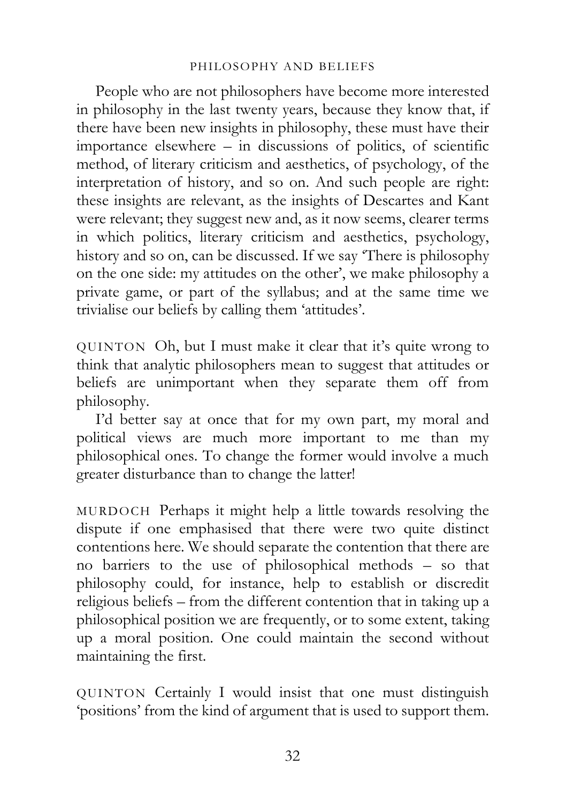People who are not philosophers have become more interested in philosophy in the last twenty years, because they know that, if there have been new insights in philosophy, these must have their importance elsewhere – in discussions of politics, of scientific method, of literary criticism and aesthetics, of psychology, of the interpretation of history, and so on. And such people are right: these insights are relevant, as the insights of Descartes and Kant were relevant; they suggest new and, as it now seems, clearer terms in which politics, literary criticism and aesthetics, psychology, history and so on, can be discussed. If we say 'There is philosophy on the one side: my attitudes on the other', we make philosophy a private game, or part of the syllabus; and at the same time we trivialise our beliefs by calling them 'attitudes'.

QUINTON Oh, but I must make it clear that it's quite wrong to think that analytic philosophers mean to suggest that attitudes or beliefs are unimportant when they separate them off from philosophy.

I'd better say at once that for my own part, my moral and political views are much more important to me than my philosophical ones. To change the former would involve a much greater disturbance than to change the latter!

MURDOCH Perhaps it might help a little towards resolving the dispute if one emphasised that there were two quite distinct contentions here. We should separate the contention that there are no barriers to the use of philosophical methods – so that philosophy could, for instance, help to establish or discredit religious beliefs – from the different contention that in taking up a philosophical position we are frequently, or to some extent, taking up a moral position. One could maintain the second without maintaining the first.

QUINTON Certainly I would insist that one must distinguish 'positions' from the kind of argument that is used to support them.